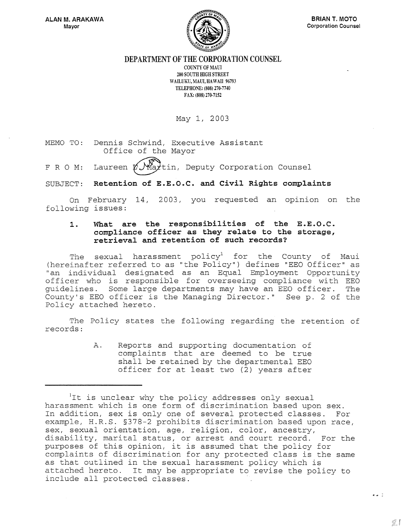

**DEPARTMENT OF THE CORPORATION COUNSEL** 

COUNTY OF MAUI 200 SOUTH HIGH STREET WAILUKU, MAUI, HAWAII 96793 TELEPHONE: (808) 270-7740 FAX: (808) 270-7152

May I, 2003

MEMO TO: Dennis Schwind, Executive Assistant Office of the Mayor

F R O M: Laureen  $\not\!\!\!\!\!\!\!\!L$  )  $\mathcal{M}$  at tin, Deputy Corporation Counsel

SUBJECT: **Retention of E.E.O.C. and Civil Rights complaints** 

On February 14, 2003, you requested an opinion on the following issues:

#### **1. What are the responsibilities of the E.E.O.C. compliance officer as they relate to the storage, retrieval and retention of such records?**

The sexual harassment  $\square$ policy<sup>1</sup> for the County of Maui (hereinafter referred to as "the Policy") defines "EEO Officer" as "an individual designated as an Equal Employment Opportunity officer who is responsible for overseeing compliance with EEO guidelines. Some large departments may have an EEO officer. The County's EEO officer is the Managing Director." See p. 2 of the Policy attached hereto.

The Policy states the following regarding the retention of records:

> A. Reports and supporting documentation of complaints that are deemed to be true shall be retained by the departmental EEO officer for at least two (2) years after

 $\bullet$   $\bullet$   $\pm$ 

<sup>&</sup>lt;sup>1</sup>It is unclear why the policy addresses only sexual harassment which is one form of discrimination based upon sex. In addition, sex is only one of several protected classes. For example, H.R.S. §378-2 prohibits discrimination based upon race, sex, sexual orientation, age, religion, color, ancestry, disability, marital status, or arrest and court record. For the purposes of this opinion, it is assumed that the policy for complaints of discrimination for any protected class is the same as that outlined in the sexual harassment policy which is attached hereto. It may be appropriate to revise the policy to include all protected classes.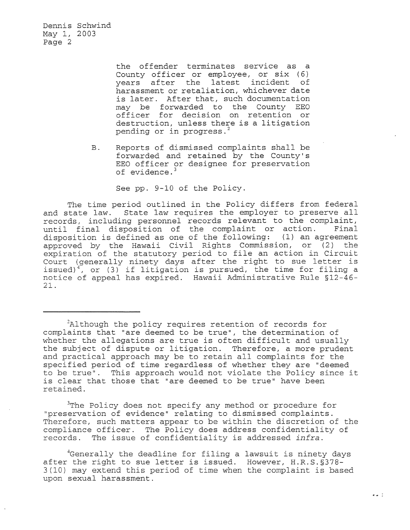> the offender terminates service as a County officer or employee, or six (6) years after the latest incident of harassment or retaliation, whichever date is later. After that, such documentation may be forwarded to the County EEO officer for decision on retention or destruction, unless there is a litigation pending or in progress.<sup>2</sup>

B. Reports of dismissed complaints shall be forwarded and retained by the County's EEO officer or designee for preservation of evidence.<sup>3</sup>

See pp. 9-10 of the Policy.

The time period outlined in the Policy differs from federal and state law. State law requires the employer to preserve all records, including personnel records relevant to the complaint, until final disposition of the complaint or action. Final disposition is defined as one of the following: (1) an agreement approved by the Hawaii Civil Rights Commission, or (2) the expiration of the statutory period to file an action in Circuit Court (generally ninety days after the right to sue letter is issued)<sup>4</sup>, or (3) if litigation is pursued, the time for filing a notice of appeal has expired. Hawaii Administrative Rule §12-46- 21.

<sup>3</sup>The Policy does not specify any method or procedure for "preservation of evidence" relating to dismissed complaints. Therefore, such matters appear to be within the discretion of the compliance officer. The Policy does address confidentiality of records. The issue of confidentiality is addressed infra. The issue of confidentiality is addressed *infra*.

4Generally the deadline for filing a lawsuit is ninety days after the right to sue letter is issued. However, H.R.S.§378- 3(10) may extend this period of time when the complaint is based upon sexual harassment.

 $A$ lthough the policy requires retention of records for complaints that "are deemed to be true", the determination of whether the allegations are true is often difficult and usually the subject of dispute or litigation. Therefore, a more prudent and practical approach may be to retain all complaints for the specified period of time regardless of whether they are "deemed to be true". This approach would not violate the Policy since it is clear that those that "are deemed to be true" have been retained.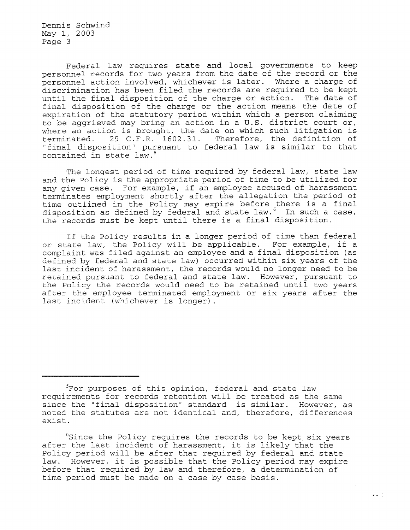Federal law requires state and local governments to keep personnel records for two years from the date of the record or the personnel action involved, whichever is later. Where a charge of discrimination has been filed the records are required to be kept until the final disposition of the charge or action. The date of final disposition of the charge or the action means the date of expiration of the statutory period within which a person claiming to be aggrieved may bring an action in a U.S. district court or, where an action is brought, the date on which such litigation is terminated.  $29$  C.F.R. 1602.31. Therefore, the definition of 29 C.F.R. 1602.31. Therefore, the definition of "final disposition" pursuant to federal law is similar to that contained in state law. <sup>5</sup>

The longest period of time required by federal law, state law and the Policy is the appropriate period of time to be utilized for any given case. For example, if an employee accused of harassment terminates employment shortly after the allegation the period of time outlined in the Policy may expire before there is a final disposition as defined by federal and state law.<sup>6</sup> In such a case, the records must be kept until there is a final disposition.

If the Policy results in a longer period of time than federal or state law, the Policy will be applicable. For example, if a complaint was filed against an employee and a final disposition (as defined by federal and state law) occurred within six years of the last incident of harassment, the records would no longer need to be retained pursuant to federal and state law. However, pursuant to the Policy the records would need to be retained until two years after the employee terminated employment or six years after the last incident (whichever is longer).

<sup>&</sup>lt;sup>5</sup>For purposes of this opinion, federal and state law requirements for records retention will be treated as the same since the "final disposition" standard is similar. However, as noted the statutes are not identical and, therefore, differences exist.

<sup>&</sup>lt;sup>6</sup>Since the Policy requires the records to be kept six years after the last incident of harassment, it is likely that the Policy period will be after that required by federal and state law. However, it is possible that the Policy period may expire before that required by law and therefore, a determination of time period must be made on a case by case basis.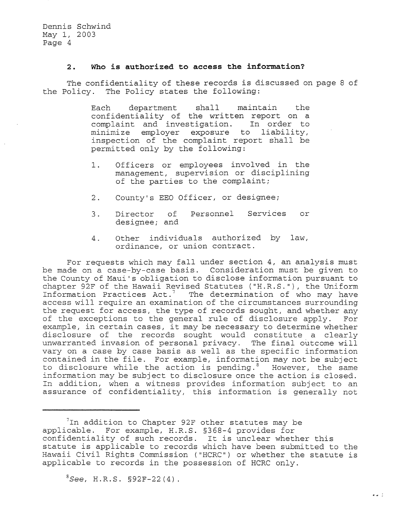#### **2. Who is authorized to access the information?**

The confidentiality of these records is discussed on page 8 of the Policy. The Policy states the following:

> Each department shall maintain the confidentiality of the written report on a complaint and investigation. In order to minimize employer exposure to liability, inspection of the complaint report shall be permitted only by the following:

- 1. Officers or employees involved in the management, supervision or disciplining of the parties to the complaint;
- 2. County's EEO Officer, or designee;
- 3. Director of Personnel Services or designee; and
- 4. Other individuals authorized by law, ordinance, or union contract.

For requests which may fall under section 4, an analysis must be made on a case-by-case basis. Consideration must be given to the County of Maui's obligation to disclose information pursuant to chapter 92F of the Hawaii Revised Statutes ("H.R.S."), the Uniform Information Practices  $Act.^7$  The determination of who may have access will require an examination of the circumstances surrounding the request for access, the type of records sought, and whether any<br>of the exceptions to the general rule of disclosure apply. For of the exceptions to the general rule of disclosure apply. example, in certain cases, it may be necessary to determine whether disclosure of the records sought would constitute a clearly unwarranted invasion of personal privacy. The final outcome will vary on a case by case basis as well as the specific information contained in the file. For example, information may not be subject to disclosure while the action is pending.<sup>8</sup> However, the same information may be subject to disclosure once the action is closed. In addition, when a witness provides information subject to an assurance of confidentiality, this information is generally not

*8See ,* H.R.S. §92F-22(4).

 $1$ In addition to Chapter 92F other statutes may be applicable. For example, H.R.S. §368-4 provides for confidentiality of such records. It is unclear whether this statute is applicable to records which have been submitted to the Hawaii Civil Rights Commission ("HCRC") or whether the statute is applicable to records in the possession of HCRC only.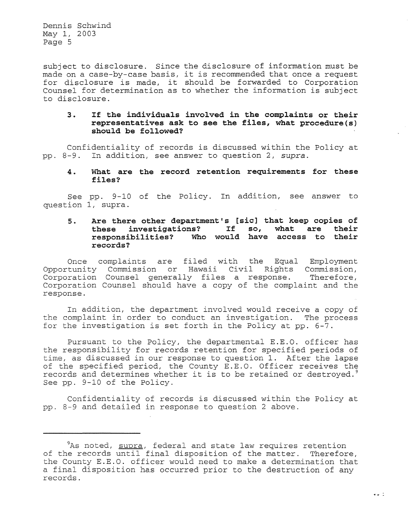subject to disclosure. Since the disclosure of information must be made on a case-by-case basis, it is recommended that once a request for disclosure is made, it should be forwarded to Corporation Counsel for determination as to whether the information is subject to disclosure.

#### **3. If the individuals involved in the complaints or their representatives ask to see the files, what procedure(s) should be followed?**

Confidentiality of records is discussed within the Policy at pp. 8-9. In addition, see answer to question 2, *supra.* 

#### 4. **What are the record retention requirements for these files?**

See pp. 9-10 of the Policy. In addition, see answer to question 1, supra.

### **5. Are there other department's [sic] that keep copies of**  these investigations? If so, **responsibilities? Who would have access to their records?**

Once complaints are filed with the Equal Employment Opportunity Commission or Hawaii Civil Rights Commission, Corporation Counsel generally files a response. Therefore, Corporation Counsel should have a copy of the complaint and the response.

In addition, the department involved would receive a copy of the complaint in order to conduct an investigation. The process for the investigation is set forth in the Policy at pp. 6-7.

Pursuant to the Policy, the departmental E.E.O. officer has the responsibility for records retention for specified periods of time, as discussed in our response to question 1. After the lapse of the specified period, the County E.E.O. Officer receives the records and determines whether it is to be retained or destroyed.<sup>9</sup> See pp. 9-10 of the Policy.

Confidentiality of records is discussed within the Policy at pp. 8-9 and detailed in response to question 2 above.

 $9As$  noted,  $s$ upra, federal and state law requires retention of the records until final disposition of the matter. Therefore, the County E.E.O. officer would need to make a determination that a final disposition has occurred prior to the destruction of any records.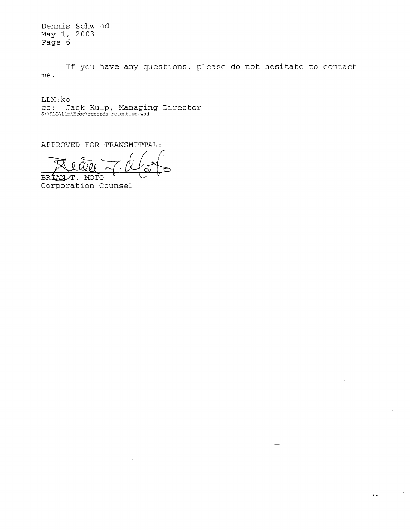If you have any questions, please do not hesitate to contact me.

 $\sigma = 1$  .

LLM:ko

CC: Jack Kulp, Managing Director<br>S:\ALL\Llm\Eeoc\records retention.wpd

APPROVED FOR TRANSMITTAL:

BRIANT. MOTO<br>Corporation Counsel  $\sim$ lan.  $.066$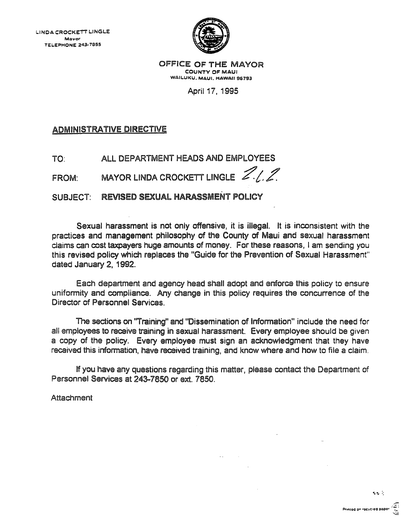

OFFICE OF THE MAYOR COUNTY OF MAUl WAILUKU, MAUI, HAWAII 96793

April 17, 1995

ADMINISTRATIVE DIRECTIVE

TO: ALL DEPARTMENT HEADS AND EMPLOYEES

FROM: MAYOR LINDA CROCKETT LINGLE  $Z/I$ 

SUBJECT: REVISED SEXUAL HARASSMENT POLICY

Sexual harassment is not only offensive, it is illegal. It is inconsistent with the practices and management philosophy of the County of Maui and sexual harassment claims can cost taxpayers huge amounts of money. For these reasons, I am sending you this revised policy whieh replaces the "Guide for the Prevention of Sexual Harassment" dated January 2, 1992.

Each department and agency head shall adopt and enforce this policy to ensure uniformity and compliance. Any change in this policy requires the concurrence of the Director of Personnel Services.

The sections on 'Training" and "Dissemination of Information" include the need for all employees to receive training in sexual harassment. Every employee should be given a copy of the policy. Every employee must sign an acknowledgment that they have received this information, have received training, and know where and how to file a claim.

If you have any questions regarding this matter, please contact the Department of Personnel Services at 243-7850 or ext. 7850.

**Sales Control** 

**Attachment**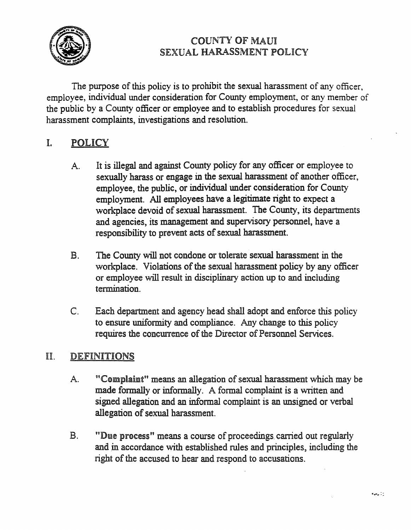

# COUNTY OF MAUl SEXUAL HARASSMENT POLICY

The purpose of this policy is to prohibit the sexual harassment of any officer, employee, individual under consideration for County employment, or any member of the public by a County officer or employee and to establish procedures for sexual harassment complaints, investigations and resolution.

# 1. POLICY

- A. It is illegal and against County policy for any officer or employee to sexually harass or engage in the sexual harassment of another officer, employee, the public, or individual under consideration for County employment. All employees have a legitimate right to expect a workplace devoid of sexual harassment. The County, its departments and agencies, its management and supervisory personnel, have a responsibility to prevent acts of sexual harassment.
- B. The County will not condone or tolerate sexual harassment in the workplace. Violations of the sexual harassment policy by any officer or employee will result in disciplinary action up to and including termination.
- C. Each department and agency head shall adopt and enforce this policy to ensure uniformity and compliance. Any change to this policy requires the concurrence of the Director of Personnel Services.

# II. DEFINITIONS

- A. "Complaint" means an allegation of sexual harassment which may be made formally or informally. A formal complaint is a written and signed allegation and an informal complaint is an unsigned or verbal allegation of sexual harassment.
- B. "Due process" means a course of proceedings. carried out regularly and in accordance with established rules and principles, including the right of the accused to hear and respond to accusations.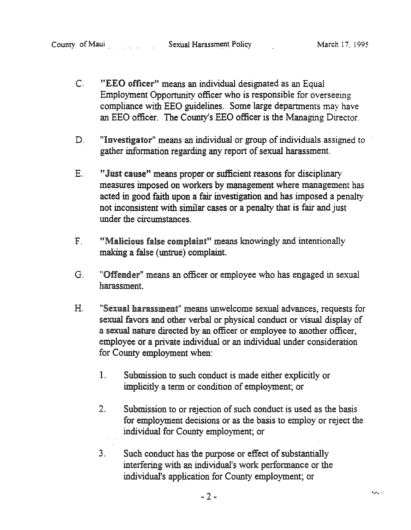- C. "EEO officer" means an individual designated as an Equal Employment Opportunity officer who is responsible for overseeing compliance with EEO guidelines. Some large departments may have an EEO officer. The County's *EED* officer is the Managing Director.
- D. "Investigator" means an individual or group of individuals assigned to gather information regarding any report of sexual harassment.
- E. "Just cause" means proper or sufficient reasons for disciplinary measures imposed on workers by management where management has acted in good faith upon a fair investigation and has imposed a penalty not inconsistent with similar cases or a penalty that is fair and just under the circumstances.
- F. "Malicious false complaint" means knowingly and intentionally making a false (untrue) complaint.
- G. "Offender" means an officer or employee who has engaged in sexual harassment.
- H. "Sexual harassment" means unwelcome sexual advances, requests for sexual favors and other verbal or physical conduct or visual display of a sexual nature directed by an officer or employee to another officer, employee or a private individual or an individual under consideration for County employment when:
	- 1. Submission to such conduct is made either explicitly or implicitly a term or condition of employment; or
	- 2. Submission to or rejection of such conduct is used as the basis for employment decisions or as the basis to employ or reject the individual for County employment; or
	- 3. Such conduct has the purpose or effect of substantially interfering with an individual's work performance or the individual's application for County employment; or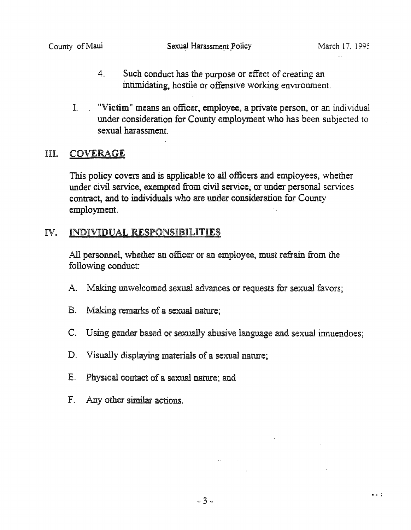$9.9<sup>2</sup>$ 

- 4. Such conduct has the purpose or effect of creating an intimidating, hostile or offensive working environment.
- 1. "Victim" means an officer, employee, a private person, or an individual under consideration for County employment who has been subjected to sexual harassment.

## III. COVERAGE

This policy covers and is applicable to all officers and employees, whether under civil service, exempted from civil service, or under personal services contract, and to individuals who are under consideration for County employment.

## IV. INDIVIDUAL RESPONSIBILITIES

All personnel, whether an officer or an employee, must refrain from the following conduct:

- A. Making unwelcomed sexual advances or requests for sexual favors;
- B. Making remarks of a sexual nature;
- C. Using gender based or sexually abusive language and sexual innuendoes;
- D. Visually displaying materials of a sexual nature;
- E. Physical contact of a sexual nature; and
- F. Any other similar actions.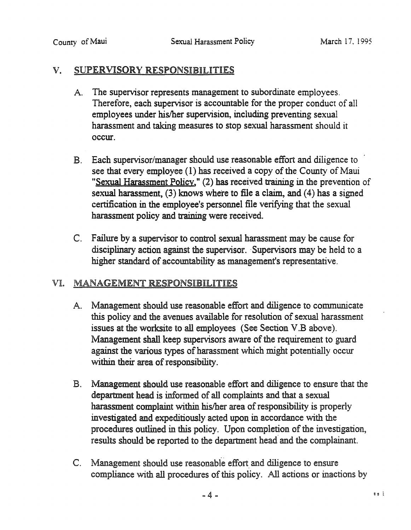## v. SUPERVISORY RESPONSIBILITIES

- A. The supervisor represents management to subordinate employees. Therefore, each supervisor is accountable for the proper conduct of all employees under his/her supervision, including preventing sexual harassment and taking measures to stop sexual harassment should it occur.
- B. Each supervisor/manager should use reasonable effort and diligence to see that every employee (1) has received a copy of the County of Maui "Sexual Harassment Policy," (2) has received training in the prevention of sexual harassment, (3) knows where to file a claim, and (4) has a signed certification in the employee's personnel file verifying that the sexual harassment policy and training were received.
- C. Failure by a supervisor to control sexual harassment may be cause for disciplinary action against the supervisor. Supervisors may be held to a higher standard of accountability as management's representative.

# VI. MANAGEMENT RESPONSIBILITIES

- A. Management should use reasonable effort and diligence to communicate this policy and the avenues available for resolution of sexual harassment issues at the worksite to all employees (See Section V.B above). Management shall keep supervisors aware of the requirement to guard against the various types of harassment which might potentially occur within their area of responsibility.
- B. Management should use reasonable effort and diligence to ensure that the department head is informed of all complaints and that a sexual harassment complaint within his/her area of responsibility is properly investigated and expeditiously acted upon in accordance with the procedures outlined in this policy. Upon completion of the investigation, results should be reported to the department head' and the complainant.
- C. Management should use reasonable effort and diligence to ensure compliance with all procedures of this policy. All actions or inactions by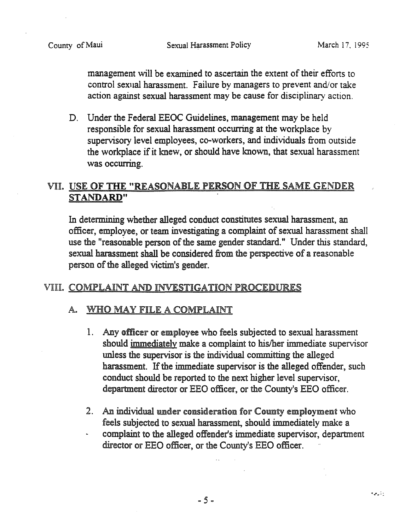management will be examined to ascertain the extent of their efforts to control sexual harassment. Failure by managers to prevent and/or take action against sexual harassment may be cause for disciplinary action.

D. Under the Federal EEOC Guidelines, management may be held responsible for sexual harassment occurring at the workplace by supervisory level employees, co-workers, and individuals from outside the workplace if it knew, or should have known, that sexual harassment was occurring.

# VII. USE OF THE "REASONABLE PERSON OF THE SAME GENDER STANDARD"

In determining whether alleged conduct constitutes sexual harassment, an officer, employee, or team investigating a complaint of sexual harassment shall use the "reasonable person of the same gender standard." Under this standard, sexual harassment shall be considered from the perspective of a reasonable person of the alleged victim's gender.

## VIII. COMPLAINT AND INVESTIGATION PROCEDURES

## A. WHO MAY FILE A COMPLAINT

- 1. Any officer or employee who feels subjected to sexual harassment should immediately make a complaint to his/her immediate supervisor unless the supervisor is the individual committing the alleged harassment. If the immediate supervisor is the alleged offender, such conduct should be reported to the next higher level supervisor, department director or EEO officer, or the County's EEO officer.
- 2. An individual under consideration for County employment who feels subjected to sexual harassment, should immediately make a complaint to the alleged offender's immediate supervisor, department director or EEO officer, or the County's EEO officer.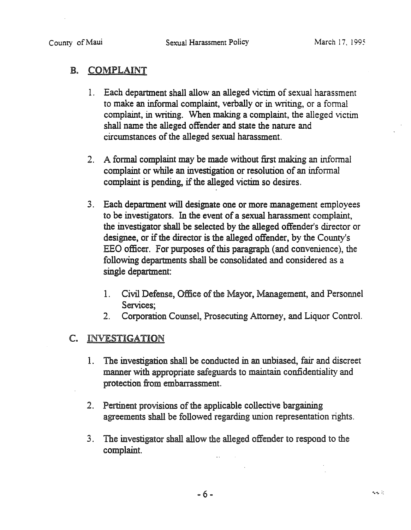# B. COMPLAINT

- 1. Each department shall allow an alleged victim of sexual harassment to make an infonnal complaint, verbally or in writing, or a fonnal complaint, in writing. When making a complaint, the alleged victim shall name the alleged offender and state the nature and circumstances of the alleged sexual harassment.
- 2. A formal complaint may be made without first making an informal complaint or while an investigation or resolution of an informal complaint is pending, if the alleged victim so desires.
- 3. Each department will designate one or more management employees to be investigators. In the event of a sexual harassment complaint, the investigator shall be selected by the alleged offender's director or designee, or if the director is the alleged offender, by the County's EEO officer. For purposes of this paragraph (and convenience), the following departments shall be consolidated and considered as a single department:
	- 1. Civil Defense, Office of the Mayor, Management, and Personnel Services;
	- 2. Corporation Counsel, Prosecuting Attorney, and Liquor Control.

# C. INVESTIGATION

- 1. The investigation shall be conducted in an unbiased, fair and discreet manner with appropriate safeguards to maintain confidentiality and protection from embarrassment.
- 2. Pertinent provisions of the applicable collective bargaining agreements shall be followed regarding union representation rights.
- 3. The investigator shall allow the alleged offender to respond to the complaint.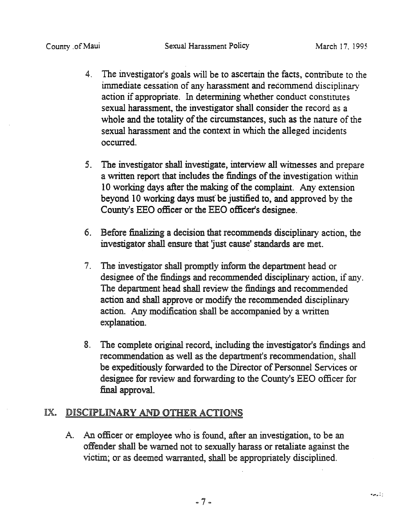- 4. The investigator's goals will be to ascertain the facts, contribute to the immediate cessation of any harassment and recommend disciplinary action if appropriate. In determining whether conduct constitutes sexual harassment, the investigator shall consider the record as a whole and the totality of the circumstances, such as the nature of the sexual harassment and the context in which the alleged incidents occurred.
- 5. The investigator shall investigate, interview all witnesses and prepare a written report that includes the findings of the investigation within 10 working days after the making of the complaint. Any extension beyond 10 working days must" be justified to, and approved by the County's EEO officer or the EEO officer's designee.
- 6. Before finalizing a decision that recommends disciplinary action, the investigator shall ensure that 'just cause' standards are met.
- 7. The investigator shall promptly inform the department head or designee of the findings and recommended disciplinary action, if any. The department head shall review the findings and recommended action and shall approve or modify the recommended disciplinary action. Any modification shall be accompanied by a written explanation.
- 8. The complete original record, including the investigator's findings and recommendation as well as the department's recommendation, shall be expeditiously forwarded to the Director of Personnel Services or designee for review and forwarding to the County's EEO officer for final approval.

# IX. DISCIPLINARY AND OTHER ACTIONS

A. An officer or employee who is found, after an investigation, to be an offender shall be warned not to sexually harass or retaliate against the victim; or as deemed warranted, shall be appropriately disciplined.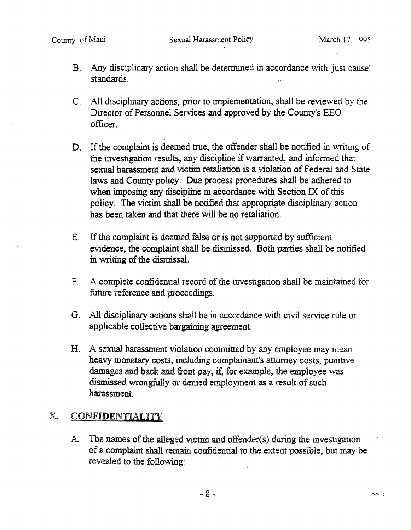- B. Any disciplinary action shall be determined in accordance with 'just cause' standards.
- C. All disciplinary actions, prior to implementation, shall be reviewed by the . Director of Personnel Services and approved by the County's EEO officer.
- D. If the complaint is deemed true, the offender shall be notified in writing of the investigation results, any discipline if warranted, and informed that sexual harassment and victim retaliation is a violation of Federal and State laws and County policy. Due process procedures shall be adhered to when imposing any discipline in accordance with Section IX of this policy. The victim shall be notified that appropriate disciplinary action has been taken and that there will be no retaliation.
- E. If the complaint is deemed false or is not supported by sufficient evidence, the complaint shall be dismissed. Both parties shall be notified in writing of the dismissal.
- F. A complete confidential record of the investigation shall be maintained for future reference and proceedings.
- G. All disciplinary actions shall be in accordance with civil service rule or applicable collective bargaining agreement.
- H. A sexual harassment violation committed by any employee may mean heavy monetary costs, including complainant's attorney costs, punitive damages and back and front pay, if, for example, the employee was dismissed wrongfully or denied employment as a result of such harassment.

# x. CONFIDENTIALITY

A. The names of the alleged victim and offender( s) during the investigation of a complaint shall remain confidential to the extent possible, but may be revealed to the following: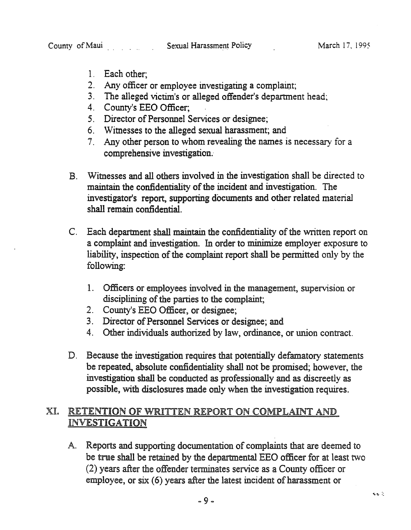- 1. Each other;
- 2. Any officer or employee investigating a complaint;
- 3. The alleged victim's or alleged offender's department head;
- 4. County's EEO Officer;
- 5. Director of Personnel Services or designee;
- 6. Witnesses to the alleged sexual harassment; and
- 7. Any other person to whom revealing the names is necessary for a comprehensive investigation.
- B. Witnesses and all others involved in the investigation shall be directed to maintain the confidentiality of the incident' and investigation. The investigator's report, supporting documents and other related material shall remain confidential.
- C. Each department shall maintain the confidentiality of the written report on a complaint and investigation. In order to minimize employer exposure to liability, inspection of the complaint report shall be permitted only by the following:
	- 1. Officers or employees involved in the management, supervision or disciplining of the parties to the complaint;
	- 2. County's EEO Officer, or designee;
	- 3. Director of Personnel Services or designee; and
	- 4. Other individuals authorized by law, ordinance, or union contract.
- D. Because the investigation requires that potentially defamatory statements be repeated, absolute confidentiality shall not be promised; however, the investigation shall be conducted as professionally and as discreetly as possible, with disclosures made only when the investigation requires.

# XI. RETENTION OF WRITTEN REPORT ON COMPLAINT AND INVESTIGATION

A. Reports and supporting documentation of complaints that are deemed to be true shall be retained by the departmental EEO officer for at least two (2) years after the offender terminates service as a County officer or employee, or six (6) years after the latest incident of harassment or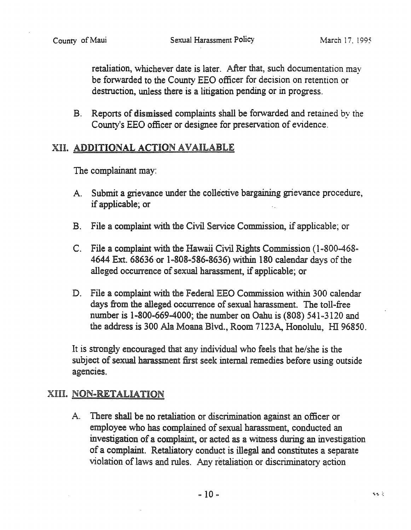retaliation, whichever date is later. After that, such docwnentation may be forwarded to the County EEO officer for decision on retention or destruction, unless there is a litigation pending or in progress.

B. Reports of dismissed complaints shall be forwarded and retained by the County's EEO officer or designee for preservation of evidence.

# XII. ADDITIONAL ACTION AVAILABLE

The complainant may:

- A. Submit a grievance under the collective bargaining grievance procedure, if applicable; or
- B. File a complaint with the Civil Service Commission, if applicable; or
- C. File a complaint with the Hawaii Civil Rights Commission (1-800-468- 4644 Ext. 68636 or 1-808-586-8636) within 180 calendar days of the alleged occurrence of sexual harassment, if applicable; or
- D. File a complaint with the Federal EEO Commission within 300 calendar days from the alleged occurrence of sexual harassment. The toll-free number is  $1 - 800 - 669 - 4000$ ; the number on Oahu is (808) 541-3120 and the address is 300 Ala Moana Blvd., Room 7123A, Honolulu, HI 96850.

It is strongly encouraged that any individual who feels that he/she is the subject of sexual harassment first seek internal remedies before using outside agencies.

# XIII. NON-RETALIATION

A. There shall be no retaliation or discrimination against an officer or employee who has complained of sexual harassment, conducted an investigation of a complaint, or acted as a witness during an investigation of a complaint. Retaliatory conduct is illegal and constitutes a separate violation of laws and rules. Any retaliation or discriminatory action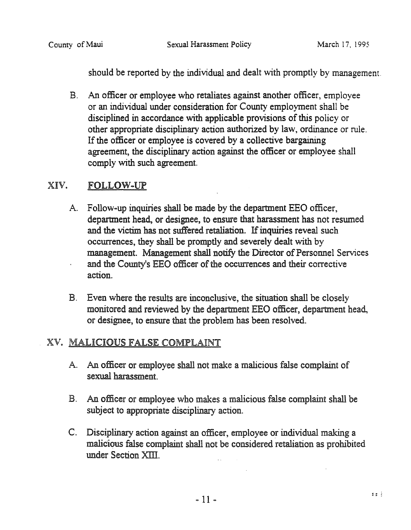should be reported by the individual and dealt with promptly by management.

B. An officer or employee who retaliates against another officer, employee or an individual under consideration for County employment shall be disciplined in accordance with applicable provisions of this policy or other appropriate disciplinary action authorized by law, ordinance or rule. If the officer or employee is covered by a collective bargaining agreement, the disciplinary action against the officer or employee shall comply with such agreement.

# XIV. FOLLOW-UP

- A. Follow-up inquiries shall be made by the department EEO officer, department head, or designee, to ensure that harassment has not resumed and the victim has not suffered retaliation. If inquiries reveal such occurrences, they shall be promptly and severely dealt with by management. Management shall notify the Director of Personnel Services and the County's *EED* officer of the occurrences and their corrective action.
- B. Even where the results are inconclusive, the situation shall be closely monitored and reviewed by the department EEO officer, department head, or designee, to ensure that the problem has been resolved.

# XV. MALICIOUS FALSE COMPLAINT

- A. An officer or employee shall not make a malicious false complaint of sexual harassment.
- B. An officer Of employee who makes a malicious false complaint shall be subject to appropriate disciplinary action.
- C. Disciplinary action against an officer, employee or individual making a malicious false complaint shall not be considered retaliation as prohibited under Section XIII.